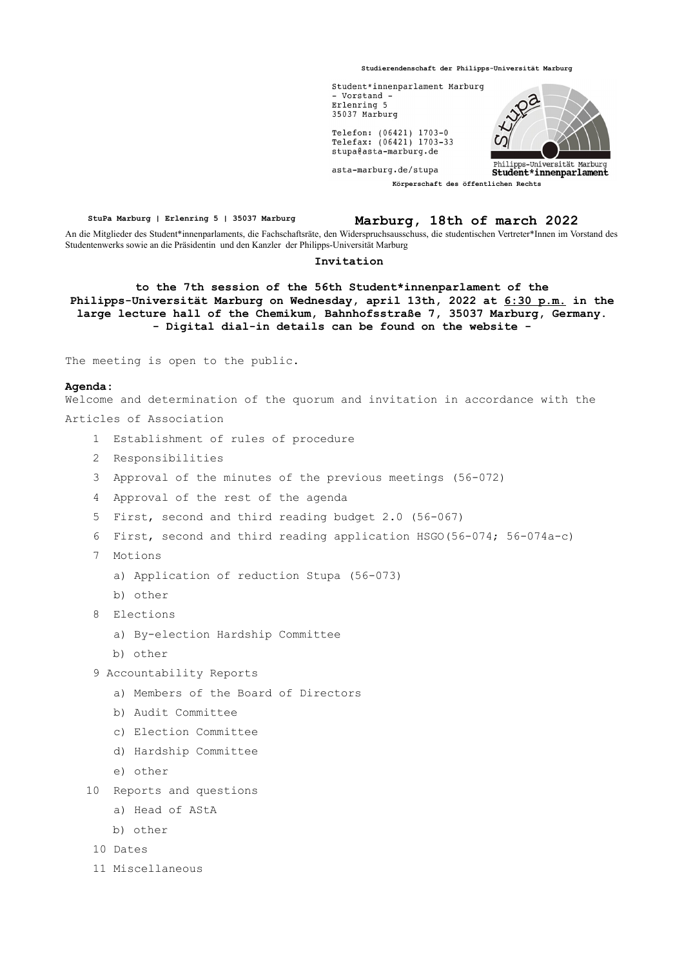**Studierendenschaft der Philipps-Universität Marburg**



**StuPa Marburg | Erlenring 5 | 35037 Marburg Marburg, 18th of march 2022** An die Mitglieder des Student\*innenparlaments, die Fachschaftsräte, den Widerspruchsausschuss, die studentischen Vertreter\*Innen im Vorstand des Studentenwerks sowie an die Präsidentin und den Kanzler der Philipps-Universität Marburg

## **Invitation**

**to the 7th session of the 56th Student\*innenparlament of the Philipps-Universität Marburg on Wednesday, april 13th, 2022 at 6:30 p.m. in the large lecture hall of the Chemikum, Bahnhofsstraße 7, 35037 Marburg, Germany. - Digital dial-in details can be found on the website -**

The meeting is open to the public.

## **Agenda:**

Welcome and determination of the quorum and invitation in accordance with the Articles of Association

- 1 Establishment of rules of procedure
- 2 Responsibilities
- 3 Approval of the minutes of the previous meetings (56-072)
- 4 Approval of the rest of the agenda
- 5 First, second and third reading budget 2.0 (56-067)
- 6 First, second and third reading application HSGO(56-074; 56-074a-c)
- 7 Motions
	- a) Application of reduction Stupa (56-073)
	- b) other
- 8 Elections
	- a) By-election Hardship Committee
	- b) other
- 9 Accountability Reports
	- a) Members of the Board of Directors
	- b) Audit Committee
	- c) Election Committee
	- d) Hardship Committee
	- e) other
- 10 Reports and questions
	- a) Head of AStA
	- b) other
- 10 Dates
- 11 Miscellaneous